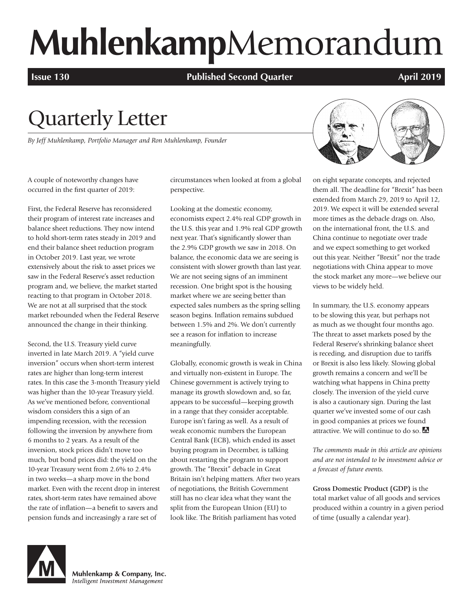# **Muhlenkamp**Memorandum

**Issue 130 Published Second Quarter April 2019 April 2019** 

## Quarterly Letter

*By Jeff Muhlenkamp, Portfolio Manager and Ron Muhlenkamp, Founder*

A couple of noteworthy changes have occurred in the first quarter of 2019:

First, the Federal Reserve has reconsidered their program of interest rate increases and balance sheet reductions. They now intend to hold short-term rates steady in 2019 and end their balance sheet reduction program in October 2019. Last year, we wrote extensively about the risk to asset prices we saw in the Federal Reserve's asset reduction program and, we believe, the market started reacting to that program in October 2018. We are not at all surprised that the stock market rebounded when the Federal Reserve announced the change in their thinking.

Second, the U.S. Treasury yield curve inverted in late March 2019. A "yield curve inversion" occurs when short-term interest rates are higher than long-term interest rates. In this case the 3-month Treasury yield was higher than the 10-year Treasury yield. As we've mentioned before, conventional wisdom considers this a sign of an impending recession, with the recession following the inversion by anywhere from 6 months to 2 years. As a result of the inversion, stock prices didn't move too much, but bond prices did: the yield on the 10-year Treasury went from 2.6% to 2.4% in two weeks—a sharp move in the bond market. Even with the recent drop in interest rates, short-term rates have remained above the rate of inflation—a benefit to savers and pension funds and increasingly a rare set of

circumstances when looked at from a global perspective.

Looking at the domestic economy, economists expect 2.4% real GDP growth in the U.S. this year and 1.9% real GDP growth next year. That's significantly slower than the 2.9% GDP growth we saw in 2018. On balance, the economic data we are seeing is consistent with slower growth than last year. We are not seeing signs of an imminent recession. One bright spot is the housing market where we are seeing better than expected sales numbers as the spring selling season begins. Inflation remains subdued between 1.5% and 2%. We don't currently see a reason for inflation to increase meaningfully.

Globally, economic growth is weak in China and virtually non-existent in Europe. The Chinese government is actively trying to manage its growth slowdown and, so far, appears to be successful—keeping growth in a range that they consider acceptable. Europe isn't faring as well. As a result of weak economic numbers the European Central Bank (ECB), which ended its asset buying program in December, is talking about restarting the program to support growth. The "Brexit" debacle in Great Britain isn't helping matters. After two years of negotiations, the British Government still has no clear idea what they want the split from the European Union (EU) to look like. The British parliament has voted



on eight separate concepts, and rejected them all. The deadline for "Brexit" has been extended from March 29, 2019 to April 12, 2019. We expect it will be extended several more times as the debacle drags on. Also, on the international front, the U.S. and China continue to negotiate over trade and we expect something to get worked out this year. Neither "Brexit" nor the trade negotiations with China appear to move the stock market any more—we believe our views to be widely held.

In summary, the U.S. economy appears to be slowing this year, but perhaps not as much as we thought four months ago. The threat to asset markets posed by the Federal Reserve's shrinking balance sheet is receding, and disruption due to tariffs or Brexit is also less likely. Slowing global growth remains a concern and we'll be watching what happens in China pretty closely. The inversion of the yield curve is also a cautionary sign. During the last quarter we've invested some of our cash in good companies at prices we found attractive. We will continue to do so.

*The comments made in this article are opinions and are not intended to be investment advice or a forecast of future events.* 

**Gross Domestic Product (GDP)** is the total market value of all goods and services produced within a country in a given period of time (usually a calendar year).



Muhlenkamp & Company, Inc. Intelligent Investment Management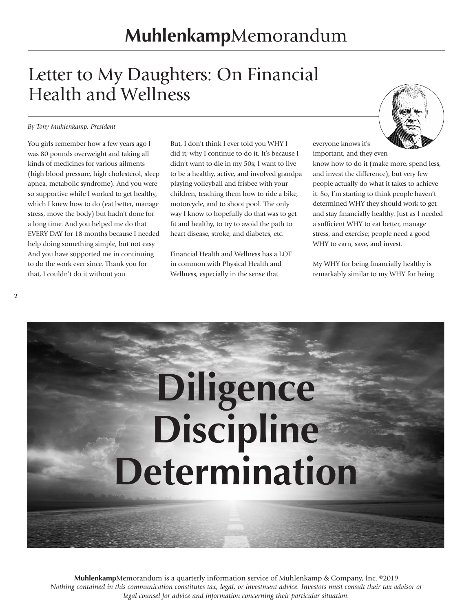## Letter to My Daughters: On Financial Health and Wellness

#### *By Tony Muhlenkamp, President*

You girls remember how a few years ago I was 80 pounds overweight and taking all kinds of medicines for various ailments (high blood pressure, high cholesterol, sleep apnea, metabolic syndrome). And you were so supportive while I worked to get healthy, which I knew how to do (eat better, manage stress, move the body) but hadn't done for a long time. And you helped me do that EVERY DAY for 18 months because I needed help doing something simple, but not easy. And you have supported me in continuing to do the work ever since. Thank you for that, I couldn't do it without you.

But, I don't think I ever told you WHY I did it; why I continue to do it. It's because I didn't want to die in my 50s; I want to live to be a healthy, active, and involved grandpa playing volleyball and frisbee with your children, teaching them how to ride a bike, motorcycle, and to shoot pool. The only way I know to hopefully do that was to get fit and healthy, to try to avoid the path to heart disease, stroke, and diabetes, etc.

Financial Health and Wellness has a LOT in common with Physical Health and Wellness, especially in the sense that



everyone knows it's important, and they even

know how to do it (make more, spend less, and invest the difference), but very few people actually do what it takes to achieve it. So, I'm starting to think people haven't determined WHY they should work to get and stay financially healthy. Just as I needed a sufficient WHY to eat better, manage stress, and exercise; people need a good WHY to earn, save, and invest.

My WHY for being financially healthy is remarkably similar to my WHY for being

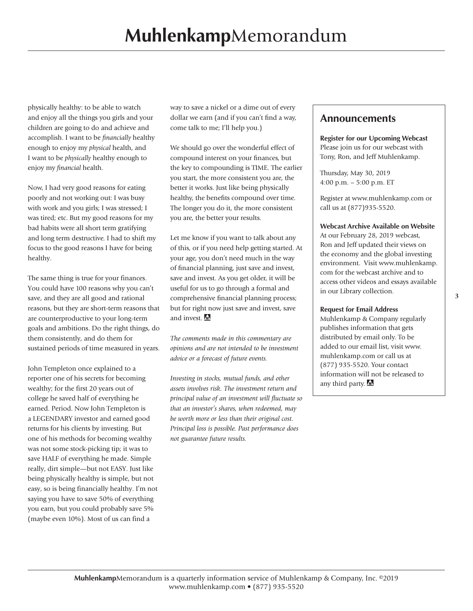physically healthy: to be able to watch and enjoy all the things you girls and your children are going to do and achieve and accomplish. I want to be *financially* healthy enough to enjoy my *physical* health, and I want to be *physically* healthy enough to enjoy my *financial* health.

Now, I had very good reasons for eating poorly and not working out: I was busy with work and you girls; I was stressed; I was tired; etc. But my good reasons for my bad habits were all short term gratifying and long term destructive. I had to shift my focus to the good reasons I have for being healthy.

The same thing is true for your finances. You could have 100 reasons why you can't save, and they are all good and rational reasons, but they are short-term reasons that are counterproductive to your long-term goals and ambitions. Do the right things, do them consistently, and do them for sustained periods of time measured in years.

John Templeton once explained to a reporter one of his secrets for becoming wealthy; for the first 20 years out of college he saved half of everything he earned. Period. Now John Templeton is a LEGENDARY investor and earned good returns for his clients by investing. But one of his methods for becoming wealthy was not some stock-picking tip; it was to save HALF of everything he made. Simple really, dirt simple—but not EASY. Just like being physically healthy is simple, but not easy, so is being financially healthy. I'm not saying you have to save 50% of everything you earn, but you could probably save 5% (maybe even 10%). Most of us can find a

way to save a nickel or a dime out of every dollar we earn (and if you can't find a way, come talk to me; I'll help you.)

We should go over the wonderful effect of compound interest on your finances, but the key to compounding is TIME. The earlier you start, the more consistent you are, the better it works. Just like being physically healthy, the benefits compound over time. The longer you do it, the more consistent you are, the better your results.

Let me know if you want to talk about any of this, or if you need help getting started. At your age, you don't need much in the way of financial planning, just save and invest, save and invest. As you get older, it will be useful for us to go through a formal and comprehensive financial planning process; but for right now just save and invest, save and invest.

*The comments made in this commentary are opinions and are not intended to be investment advice or a forecast of future events.*

*Investing in stocks, mutual funds, and other assets involves risk. The investment return and principal value of an investment will fluctuate so that an investor's shares, when redeemed, may be worth more or less than their original cost. Principal loss is possible. Past performance does not guarantee future results.*

#### **Announcements**

**Register for our Upcoming Webcast**  Please join us for our webcast with Tony, Ron, and Jeff Muhlenkamp.

Thursday, May 30, 2019 4:00 p.m. – 5:00 p.m. ET

Register at www.muhlenkamp.com or call us at (877)935-5520.

#### **Webcast Archive Available on Website**

At our February 28, 2019 webcast, Ron and Jeff updated their views on the economy and the global investing environment. Visit www.muhlenkamp. com for the webcast archive and to access other videos and essays available in our Library collection.

#### **Request for Email Address**

Muhlenkamp & Company regularly publishes information that gets distributed by email only. To be added to our email list, visit www. muhlenkamp.com or call us at (877) 935-5520. Your contact information will not be released to any third party.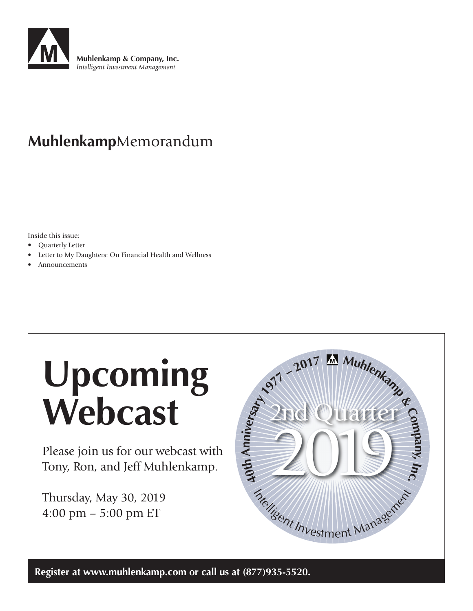

## **Muhlenkamp**Memorandum

Inside this issue:

- Quarterly Letter
- Letter to My Daughters: On Financial Health and Wellness
- **Announcements**

# **Upcoming Webcast**

Please join us for our webcast with Tony, Ron, and Jeff Muhlenkamp.

Thursday, May 30, 2019 4:00 pm – 5:00 pm ET



**Register at www.muhlenkamp.com or call us at (877)935-5520.**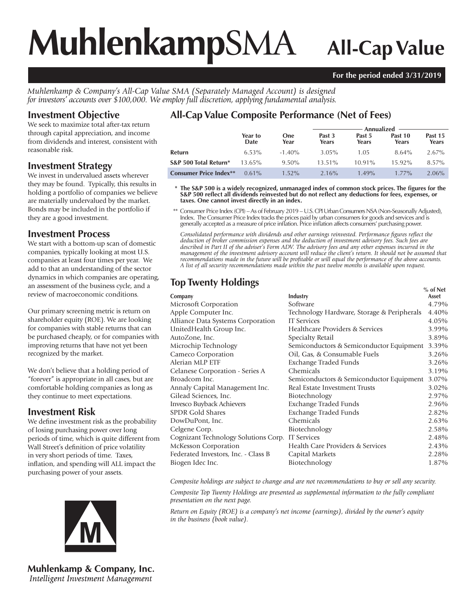# **Muhlenkamp**SMA **All-Cap Value**

#### **For the period ended 3/31/2019**

*Muhlenkamp & Company's All-Cap Value SMA (Separately Managed Account) is designed for investors' accounts over \$100,000. We employ full discretion, applying fundamental analysis.*

#### **Investment Objective**

We seek to maximize total after-tax return through capital appreciation, and income from dividends and interest, consistent with reasonable risk.

#### **Investment Strategy**

We invest in undervalued assets wherever they may be found. Typically, this results in holding a portfolio of companies we believe are materially undervalued by the market. Bonds may be included in the portfolio if they are a good investment.

#### **Investment Process**

We start with a bottom-up scan of domestic companies, typically looking at most U.S. companies at least four times per year. We add to that an understanding of the sector dynamics in which companies are operating, an assessment of the business cycle, and a review of macroeconomic conditions.

Our primary screening metric is return on shareholder equity (ROE). We are looking for companies with stable returns that can be purchased cheaply, or for companies with improving returns that have not yet been recognized by the market.

We don't believe that a holding period of "forever" is appropriate in all cases, but are comfortable holding companies as long as they continue to meet expectations.

#### **Investment Risk**

We define investment risk as the probability of losing purchasing power over long periods of time, which is quite different from Wall Street's definition of price volatility in very short periods of time. Taxes, inflation, and spending will ALL impact the purchasing power of your assets.



**Muhlenkamp & Company, Inc.** Intelligent Investment Management

### **All-Cap Value Composite Performance (Net of Fees)**

|                               |                 |             | Annualized      |                 |                  |                  |  |
|-------------------------------|-----------------|-------------|-----------------|-----------------|------------------|------------------|--|
|                               | Year to<br>Date | One<br>Year | Past 3<br>Years | Past 5<br>Years | Past 10<br>Years | Past 15<br>Years |  |
| Refurn                        | $6.53\%$        | $-1.40\%$   | $3.05\%$        | 1.05            | $8.64\%$         | $2.67\%$         |  |
| S&P 500 Total Return*         | $13.65\%$       | $9.50\%$    | $13.51\%$       | $10.91\%$       | $15.92\%$        | 8.57%            |  |
| <b>Consumer Price Index**</b> | $0.61\%$        | $1.52\%$    | $2.16\%$        | $1.49\%$        | $1.77\%$         | 2.06%            |  |

 **\* The S&P 500 is a widely recognized, unmanaged index of common stock prices. The figures for the S&P 500 reflect all dividends reinvested but do not reflect any deductions for fees, expenses, or taxes. One cannot invest directly in an index.**

 \*\* Consumer Price Index (CPI) – As of February 2019 – U.S. CPI Urban Consumers NSA (Non-Seasonally Adjusted), Index. The Consumer Price Index tracks the prices paid by urban consumers for goods and services and is generally accepted as a measure of price inflation. Price inflation affects consumers' purchasing power.

*Consolidated performance with dividends and other earnings reinvested. Performance figures reflect the deduction of broker commission expenses and the deduction of investment advisory fees. Such fees are described in Part II of the adviser's Form ADV. The advisory fees and any other expenses incurred in the management of the investment advisory account will reduce the client's return. It should not be assumed that recommendations made in the future will be profitable or will equal the performance of the above accounts. A list of all security recommendations made within the past twelve months is available upon request.*

### **Top Twenty Holdings**

|                                                  |                                            | % of Net |
|--------------------------------------------------|--------------------------------------------|----------|
| Company                                          | Industry                                   | Asset    |
| Microsoft Corporation                            | Software                                   | 4.79%    |
| Apple Computer Inc.                              | Technology Hardware, Storage & Peripherals | 4.40%    |
| Alliance Data Systems Corporation                | <b>IT Services</b>                         | 4.05%    |
| UnitedHealth Group Inc.                          | Healthcare Providers & Services            | 3.99%    |
| AutoZone, Inc.                                   | Specialty Retail                           | 3.89%    |
| Microchip Technology                             | Semiconductors & Semiconductor Equipment   | 3.39%    |
| Cameco Corporation                               | Oil, Gas, & Consumable Fuels               | 3.26%    |
| Alerian MLP ETF                                  | Exchange Traded Funds                      | 3.26%    |
| Celanese Corporation - Series A                  | Chemicals                                  | 3.19%    |
| Broadcom Inc.                                    | Semiconductors & Semiconductor Equipment   | 3.07%    |
| Annaly Capital Management Inc.                   | Real Estate Investment Trusts              | 3.02%    |
| Gilead Sciences, Inc.                            | Biotechnology                              | 2.97%    |
| Invesco Buyback Achievers                        | Exchange Traded Funds                      | 2.96%    |
| <b>SPDR Gold Shares</b>                          | Exchange Traded Funds                      | 2.82%    |
| DowDuPont, Inc.                                  | Chemicals                                  | 2.63%    |
| Celgene Corp.                                    | Biotechnology                              | 2.58%    |
| Cognizant Technology Solutions Corp. IT Services |                                            | 2.48%    |
| McKesson Corporation                             | Health Care Providers & Services           | 2.43%    |
| Federated Investors, Inc. - Class B              | Capital Markets                            | 2.28%    |
| Biogen Idec Inc.                                 | Biotechnology                              | 1.87%    |
|                                                  |                                            |          |

*Composite holdings are subject to change and are not recommendations to buy or sell any security.*

*Composite Top Twenty Holdings are presented as supplemental information to the fully compliant presentation on the next page.*

*Return on Equity (ROE) is a company's net income (earnings), divided by the owner's equity in the business (book value).*